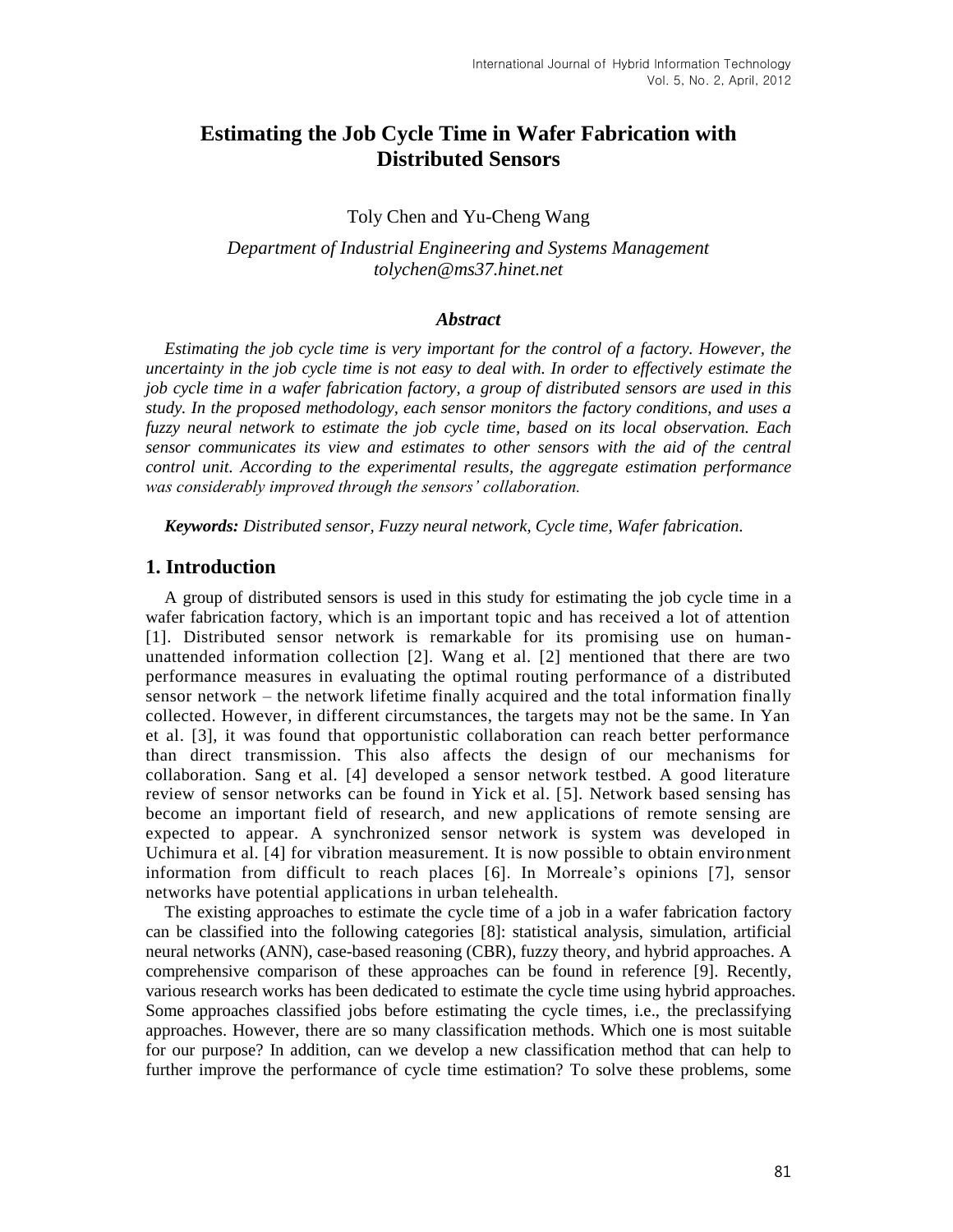# **Estimating the Job Cycle Time in Wafer Fabrication with Distributed Sensors**

Toly Chen and Yu-Cheng Wang

*Department of Industrial Engineering and Systems Management tolychen@ms37.hinet.net*

#### *Abstract*

*Estimating the job cycle time is very important for the control of a factory. However, the uncertainty in the job cycle time is not easy to deal with. In order to effectively estimate the job cycle time in a wafer fabrication factory, a group of distributed sensors are used in this study. In the proposed methodology, each sensor monitors the factory conditions, and uses a fuzzy neural network to estimate the job cycle time, based on its local observation. Each sensor communicates its view and estimates to other sensors with the aid of the central control unit. According to the experimental results, the aggregate estimation performance was considerably improved through the sensors' collaboration.*

*Keywords: Distributed sensor, Fuzzy neural network, Cycle time, Wafer fabrication.*

#### **1. Introduction**

A group of distributed sensors is used in this study for estimating the job cycle time in a wafer fabrication factory, which is an important topic and has received a lot of attention [1]. Distributed sensor network is remarkable for its promising use on humanunattended information collection [2]. Wang et al. [2] mentioned that there are two performance measures in evaluating the optimal routing performance of a distributed sensor network – the network lifetime finally acquired and the total information finally collected. However, in different circumstances, the targets may not be the same. In Yan et al. [3], it was found that opportunistic collaboration can reach better performance than direct transmission. This also affects the design of our mechanisms for collaboration. Sang et al. [4] developed a sensor network testbed. A good literature review of sensor networks can be found in Yick et al. [5]. Network based sensing has become an important field of research, and new applications of remote sensing are expected to appear. A synchronized sensor network is system was developed in Uchimura et al. [4] for vibration measurement. It is now possible to obtain environment information from difficult to reach places [6]. In Morreale's opinions [7], sensor networks have potential applications in urban telehealth.

The existing approaches to estimate the cycle time of a job in a wafer fabrication factory can be classified into the following categories [8]: statistical analysis, simulation, artificial neural networks (ANN), case-based reasoning (CBR), fuzzy theory, and hybrid approaches. A comprehensive comparison of these approaches can be found in reference [9]. Recently, various research works has been dedicated to estimate the cycle time using hybrid approaches. Some approaches classified jobs before estimating the cycle times, i.e., the preclassifying approaches. However, there are so many classification methods. Which one is most suitable for our purpose? In addition, can we develop a new classification method that can help to further improve the performance of cycle time estimation? To solve these problems, some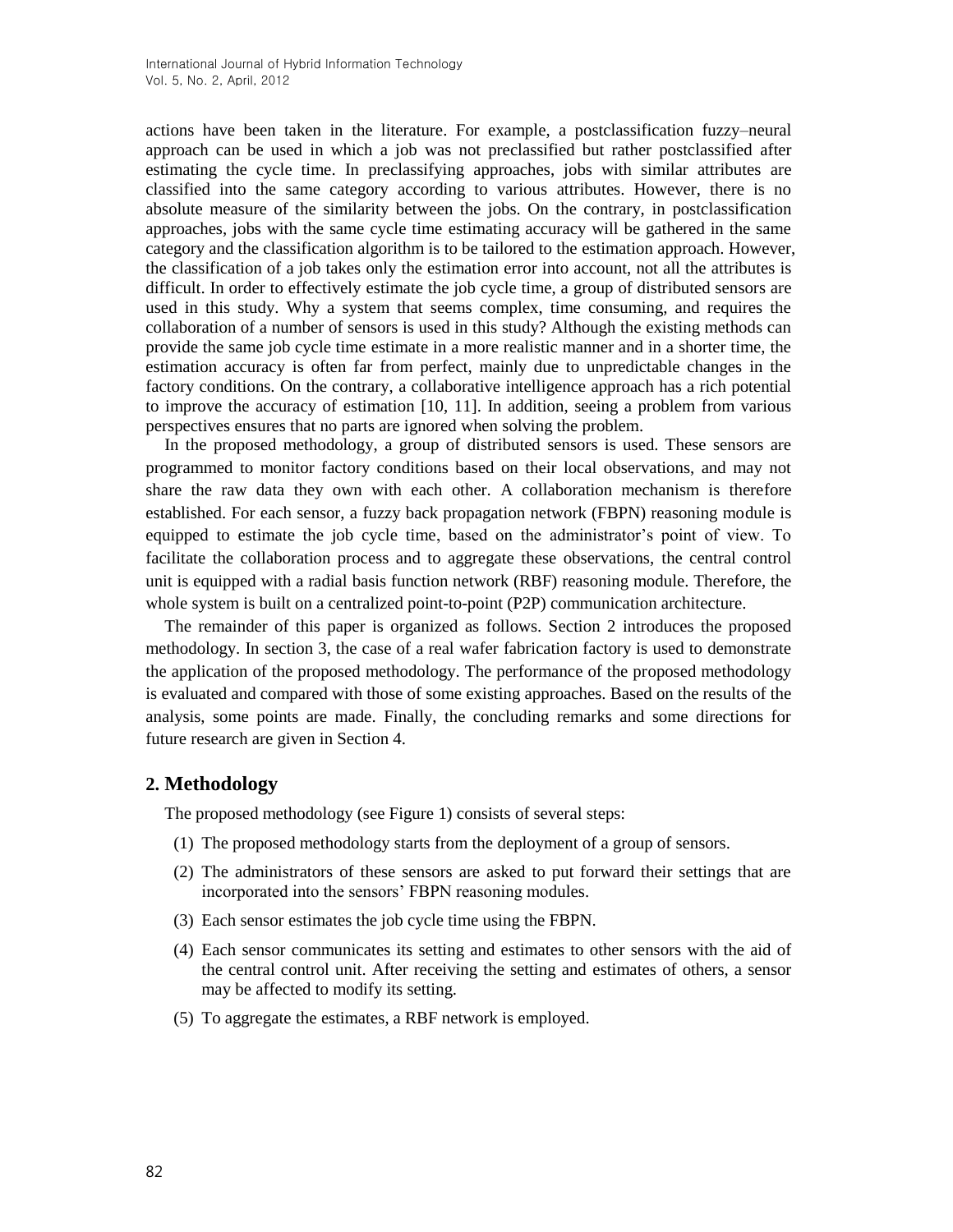actions have been taken in the literature. For example, a postclassification fuzzy–neural approach can be used in which a job was not preclassified but rather postclassified after estimating the cycle time. In preclassifying approaches, jobs with similar attributes are classified into the same category according to various attributes. However, there is no absolute measure of the similarity between the jobs. On the contrary, in postclassification approaches, jobs with the same cycle time estimating accuracy will be gathered in the same category and the classification algorithm is to be tailored to the estimation approach. However, the classification of a job takes only the estimation error into account, not all the attributes is difficult. In order to effectively estimate the job cycle time, a group of distributed sensors are used in this study. Why a system that seems complex, time consuming, and requires the collaboration of a number of sensors is used in this study? Although the existing methods can provide the same job cycle time estimate in a more realistic manner and in a shorter time, the estimation accuracy is often far from perfect, mainly due to unpredictable changes in the factory conditions. On the contrary, a collaborative intelligence approach has a rich potential to improve the accuracy of estimation [10, 11]. In addition, seeing a problem from various perspectives ensures that no parts are ignored when solving the problem.

In the proposed methodology, a group of distributed sensors is used. These sensors are programmed to monitor factory conditions based on their local observations, and may not share the raw data they own with each other. A collaboration mechanism is therefore established. For each sensor, a fuzzy back propagation network (FBPN) reasoning module is equipped to estimate the job cycle time, based on the administrator's point of view. To facilitate the collaboration process and to aggregate these observations, the central control unit is equipped with a radial basis function network (RBF) reasoning module. Therefore, the whole system is built on a centralized point-to-point (P2P) communication architecture.

The remainder of this paper is organized as follows. Section 2 introduces the proposed methodology. In section 3, the case of a real wafer fabrication factory is used to demonstrate the application of the proposed methodology. The performance of the proposed methodology is evaluated and compared with those of some existing approaches. Based on the results of the analysis, some points are made. Finally, the concluding remarks and some directions for future research are given in Section 4.

## **2. Methodology**

The proposed methodology (see Figure 1) consists of several steps:

- (1) The proposed methodology starts from the deployment of a group of sensors.
- (2) The administrators of these sensors are asked to put forward their settings that are incorporated into the sensors' FBPN reasoning modules.
- (3) Each sensor estimates the job cycle time using the FBPN.
- (4) Each sensor communicates its setting and estimates to other sensors with the aid of the central control unit. After receiving the setting and estimates of others, a sensor may be affected to modify its setting.
- (5) To aggregate the estimates, a RBF network is employed.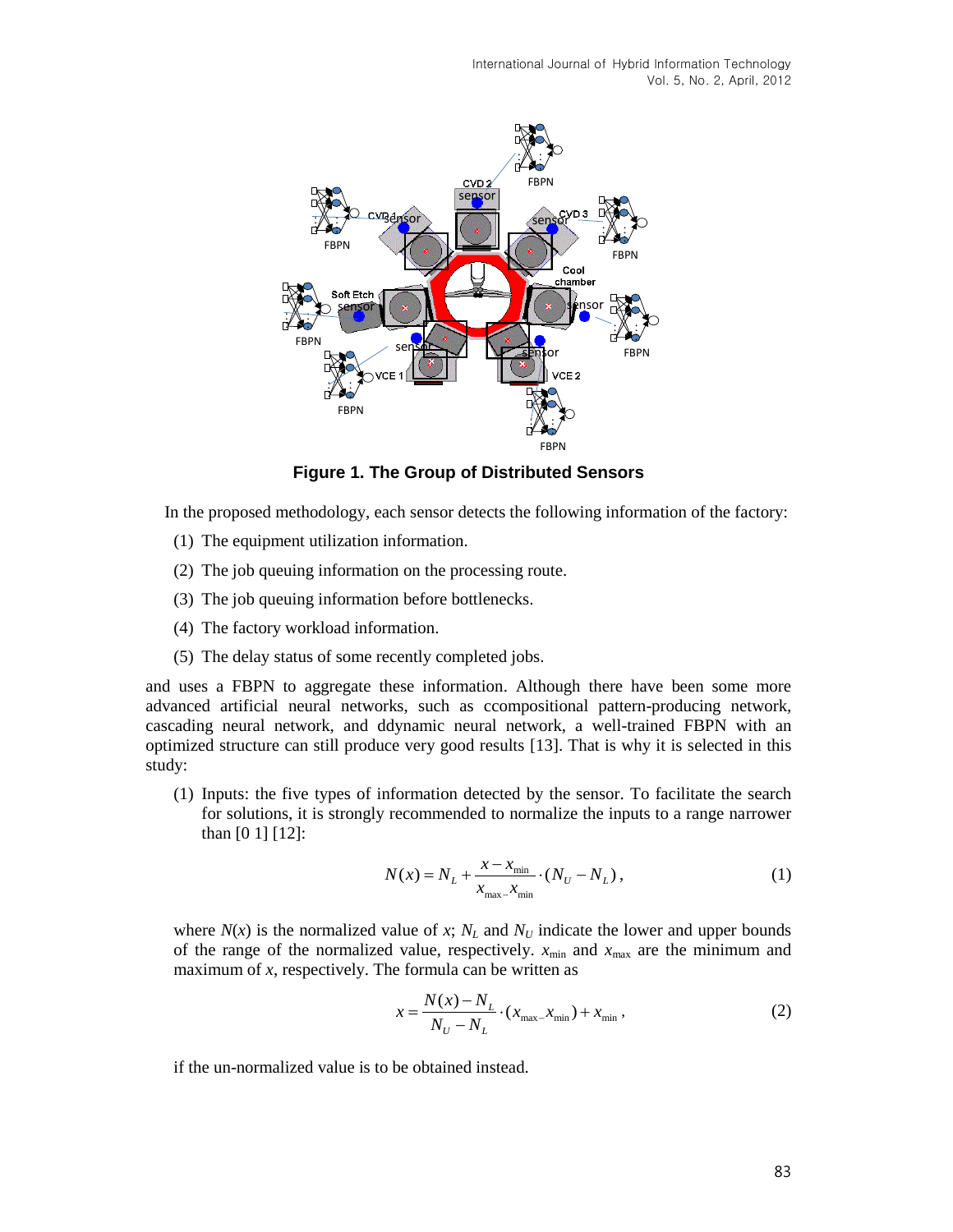International Journal of Hybrid Information Technology Vol. 5, No. 2, April, 2012



**Figure 1. The Group of Distributed Sensors**

In the proposed methodology, each sensor detects the following information of the factory:

- (1) The equipment utilization information.
- (2) The job queuing information on the processing route.
- (3) The job queuing information before bottlenecks.
- (4) The factory workload information.
- (5) The delay status of some recently completed jobs.

and uses a FBPN to aggregate these information. Although there have been some more advanced artificial neural networks, such as ccompositional pattern-producing network, cascading neural network, and ddynamic neural network, a well-trained FBPN with an optimized structure can still produce very good results [13]. That is why it is selected in this study:

(1) Inputs: the five types of information detected by the sensor. To facilitate the search for solutions, it is strongly recommended to normalize the inputs to a range narrower than [0 1] [12]:

$$
N(x) = N_L + \frac{x - x_{\min}}{x_{\max} - x_{\min}} \cdot (N_U - N_L),
$$
\n(1)

where  $N(x)$  is the normalized value of x;  $N_L$  and  $N_U$  indicate the lower and upper bounds of the range of the normalized value, respectively.  $x_{min}$  and  $x_{max}$  are the minimum and maximum of *x*, respectively. The formula can be written as

$$
x = \frac{N(x) - N_L}{N_U - N_L} \cdot (x_{\text{max}} - x_{\text{min}}) + x_{\text{min}} ,
$$
 (2)

if the un-normalized value is to be obtained instead.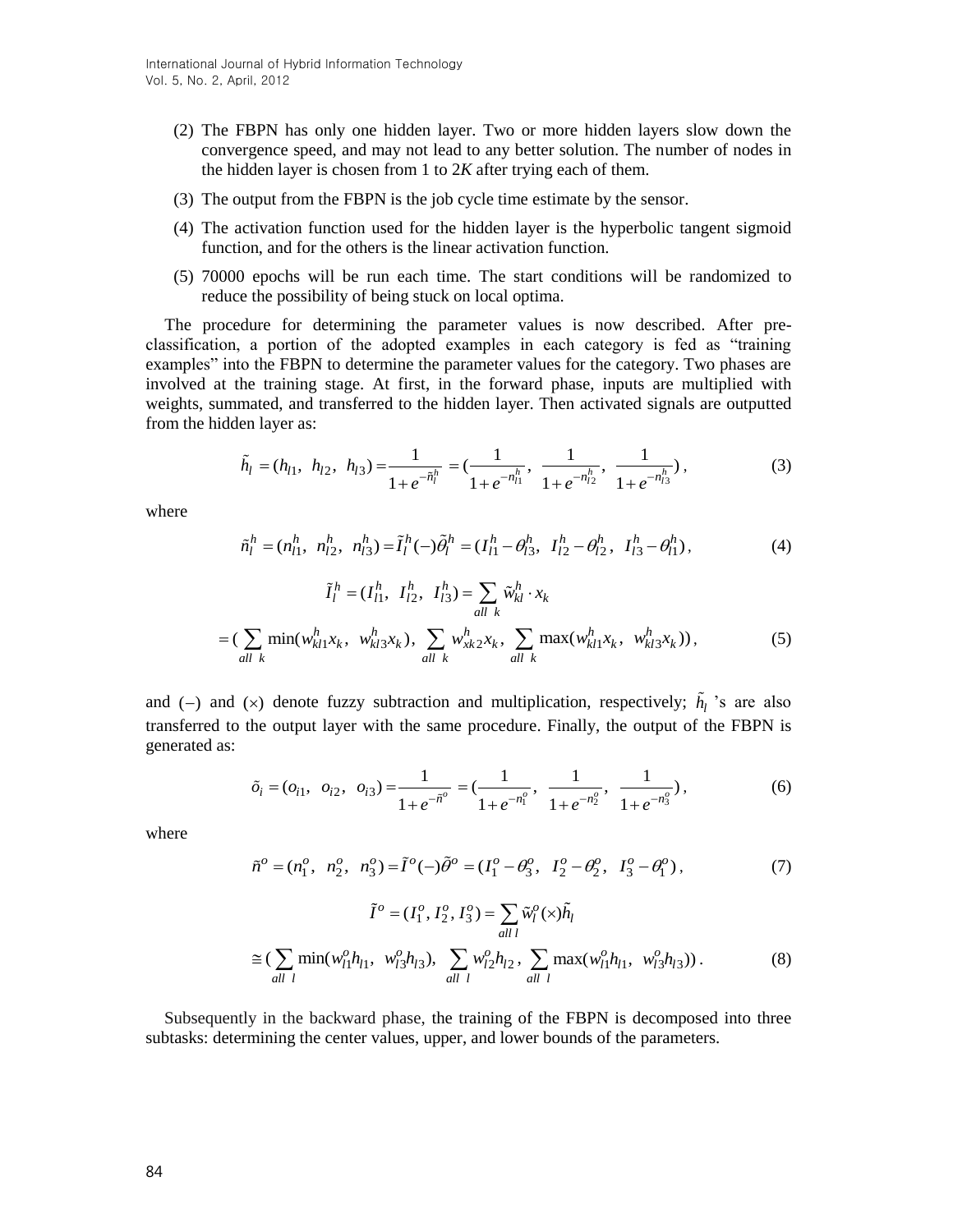- (2) The FBPN has only one hidden layer. Two or more hidden layers slow down the convergence speed, and may not lead to any better solution. The number of nodes in the hidden layer is chosen from 1 to 2*K* after trying each of them.
- (3) The output from the FBPN is the job cycle time estimate by the sensor.
- (4) The activation function used for the hidden layer is the hyperbolic tangent sigmoid function, and for the others is the linear activation function.
- (5) 70000 epochs will be run each time. The start conditions will be randomized to reduce the possibility of being stuck on local optima.

The procedure for determining the parameter values is now described. After preclassification, a portion of the adopted examples in each category is fed as "training examples" into the FBPN to determine the parameter values for the category. Two phases are involved at the training stage. At first, in the forward phase, inputs are multiplied with weights, summated, and transferred to the hidden layer. Then activated signals are outputted from the hidden layer as:

$$
\tilde{h}_l = (h_{l1}, h_{l2}, h_{l3}) = \frac{1}{1 + e^{-\tilde{n}_l^h}} = \left(\frac{1}{1 + e^{-n_{l1}^h}}, \frac{1}{1 + e^{-n_{l2}^h}}, \frac{1}{1 + e^{-n_{l3}^h}}\right),
$$
\n(3)

where

$$
\tilde{n}_l^h = (n_{l1}^h, n_{l2}^h, n_{l3}^h) = \tilde{I}_l^h(-)\tilde{\theta}_l^h = (I_{l1}^h - \theta_{l3}^h, I_{l2}^h - \theta_{l2}^h, I_{l3}^h - \theta_{l1}^h),
$$
\n(4)

$$
\tilde{I}_l^h = (I_{l1}^h, I_{l2}^h, I_{l3}^h) = \sum_{all \ k} \tilde{w}_{kl}^h \cdot x_k
$$

$$
= (\sum_{all \ k} \min(w_{kl1}^h x_k, w_{kl3}^h x_k), \sum_{all \ k} w_{xk2}^h x_k, \sum_{all \ k} \max(w_{kl1}^h x_k, w_{kl3}^h x_k)), \qquad (5)
$$

and  $(-)$  and  $(\times)$  denote fuzzy subtraction and multiplication, respectively;  $h_l$  's are also transferred to the output layer with the same procedure. Finally, the output of the FBPN is generated as:

$$
\tilde{o}_i = (o_{i1}, o_{i2}, o_{i3}) = \frac{1}{1 + e^{-\tilde{n}^o}} = \left(\frac{1}{1 + e^{-n_1^o}}, \frac{1}{1 + e^{-n_2^o}}, \frac{1}{1 + e^{-n_3^o}}\right),\tag{6}
$$

where

$$
\tilde{n}^o = (n_1^o, n_2^o, n_3^o) = \tilde{I}^o(-)\tilde{\theta}^o = (I_1^o - \theta_3^o, I_2^o - \theta_2^o, I_3^o - \theta_1^o),
$$
\n(7)

$$
\tilde{I}^o = (I_1^o, I_2^o, I_3^o) = \sum_{all \ l} \tilde{w}_l^o(\times) \tilde{h}_l
$$
  
\n
$$
\approx (\sum_{all \ l} \min(w_{l1}^o h_{l1}, w_{l3}^o h_{l3}), \sum_{all \ l} w_{l2}^o h_{l2}, \sum_{all \ l} \max(w_{l1}^o h_{l1}, w_{l3}^o h_{l3})).
$$
 (8)

Subsequently in the backward phase, the training of the FBPN is decomposed into three subtasks: determining the center values, upper, and lower bounds of the parameters.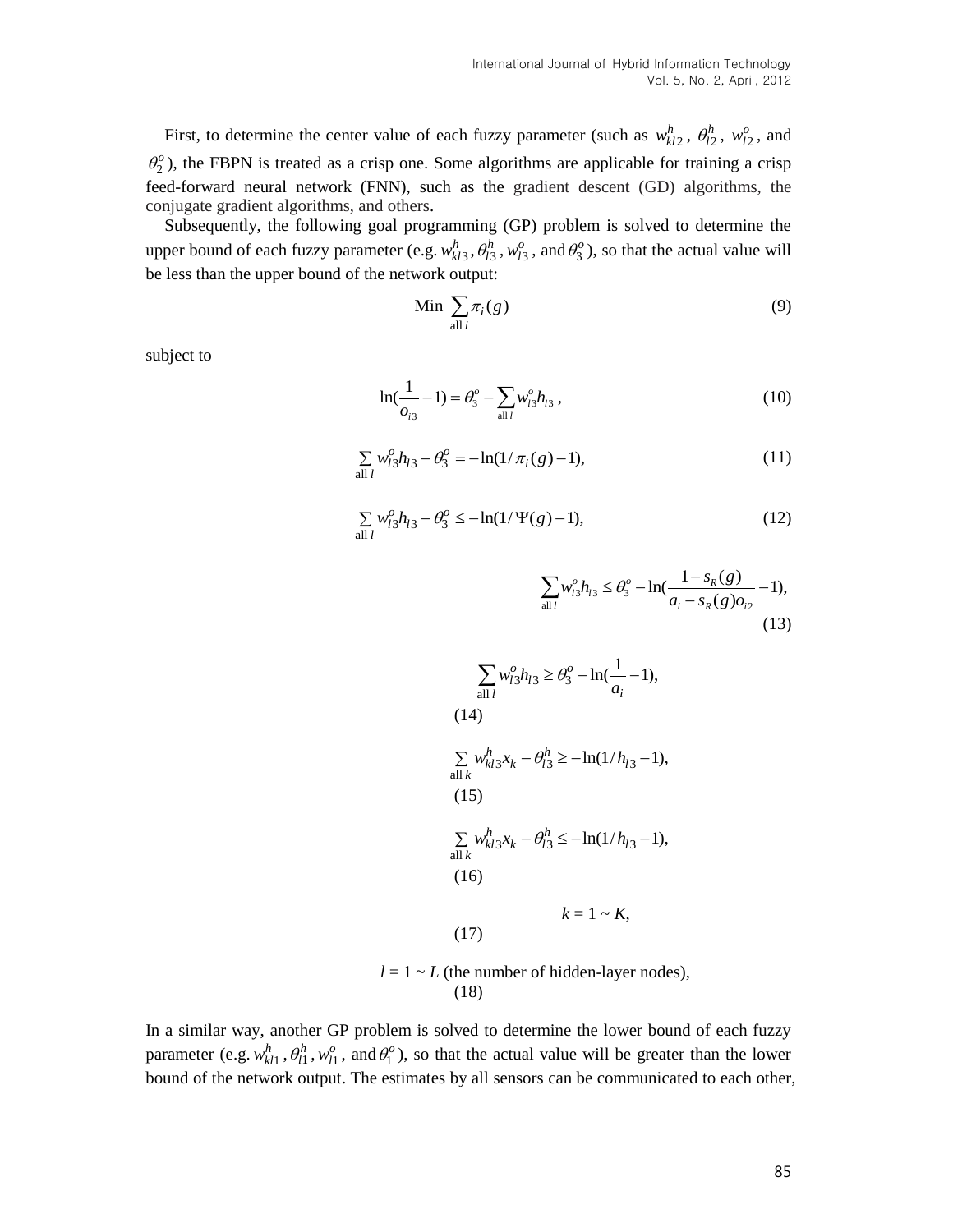First, to determine the center value of each fuzzy parameter (such as  $w_{kl2}^h$ ,  $\theta_{l2}^h$ ,  $w_{l2}^o$ , and  $\theta_2^o$ ), the FBPN is treated as a crisp one. Some algorithms are applicable for training a crisp feed-forward neural network (FNN), such as the gradient descent (GD) algorithms, the conjugate gradient algorithms, and others.

Subsequently, the following goal programming (GP) problem is solved to determine the upper bound of each fuzzy parameter (e.g.  $w_{kl3}^h$ ,  $\theta_{l3}^h$ ,  $w_{l3}^o$ , and  $\theta_3^o$ ), so that the actual value will be less than the upper bound of the network output:

$$
\text{Min } \sum_{\text{all } i} \pi_i(g) \tag{9}
$$

subject to

$$
\ln(\frac{1}{o_{i3}} - 1) = \theta_3^o - \sum_{\text{all }l} w_{l3}^o h_{l3}, \qquad (10)
$$

$$
\sum_{\text{all }l} w_{l3}^o h_{l3} - \theta_3^o = -\ln(1/\pi_i(g) - 1),\tag{11}
$$

$$
\sum_{\text{all }l} w_{l3}^0 h_{l3} - \theta_3^0 \le -\ln(1/\Psi(g) - 1),\tag{12}
$$

$$
\sum_{\text{all }l} w_{l3}^o h_{l3} \le \theta_3^o - \ln(\frac{1 - s_R(g)}{a_i - s_R(g)o_{i2}} - 1),
$$
\n(13)

$$
\sum_{\text{all } l} w_{l3}^o h_{l3} \ge \theta_3^o - \ln(\frac{1}{a_i} - 1),
$$
  
(14)  

$$
\sum_{\text{all } k} w_{kl3}^h x_k - \theta_{l3}^h \ge -\ln(1/h_{l3} - 1),
$$
  
(15)  

$$
\sum_{\text{all } k} w_{kl3}^h x_k - \theta_{l3}^h \le -\ln(1/h_{l3} - 1),
$$
  
(16)  

$$
k = 1 \sim K,
$$
  
(17)

 $l = 1 \sim L$  (the number of hidden-layer nodes), (18)

In a similar way, another GP problem is solved to determine the lower bound of each fuzzy parameter (e.g.  $w_{kl1}^h$ ,  $\theta_{l1}^h$ ,  $w_{l1}^o$ , and  $\theta_l^o$ ), so that the actual value will be greater than the lower bound of the network output. The estimates by all sensors can be communicated to each other,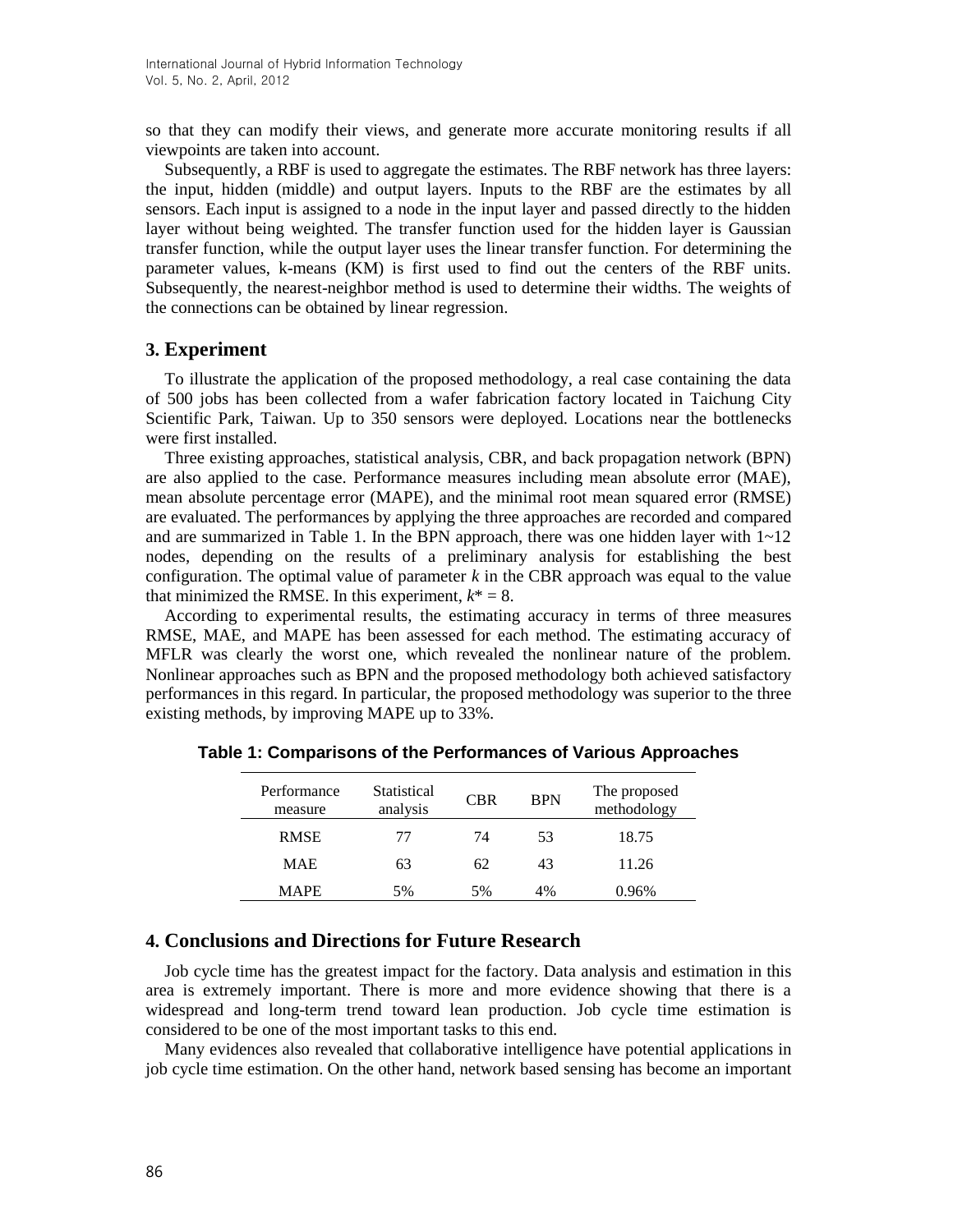so that they can modify their views, and generate more accurate monitoring results if all viewpoints are taken into account.

Subsequently, a RBF is used to aggregate the estimates. The RBF network has three layers: the input, hidden (middle) and output layers. Inputs to the RBF are the estimates by all sensors. Each input is assigned to a node in the input layer and passed directly to the hidden layer without being weighted. The transfer function used for the hidden layer is Gaussian transfer function, while the output layer uses the linear transfer function. For determining the parameter values, k-means (KM) is first used to find out the centers of the RBF units. Subsequently, the nearest-neighbor method is used to determine their widths. The weights of the connections can be obtained by linear regression.

### **3. Experiment**

To illustrate the application of the proposed methodology, a real case containing the data of 500 jobs has been collected from a wafer fabrication factory located in Taichung City Scientific Park, Taiwan. Up to 350 sensors were deployed. Locations near the bottlenecks were first installed.

Three existing approaches, statistical analysis, CBR, and back propagation network (BPN) are also applied to the case. Performance measures including mean absolute error (MAE), mean absolute percentage error (MAPE), and the minimal root mean squared error (RMSE) are evaluated. The performances by applying the three approaches are recorded and compared and are summarized in Table 1. In the BPN approach, there was one hidden layer with  $1\neg 12$ nodes, depending on the results of a preliminary analysis for establishing the best configuration. The optimal value of parameter  $k$  in the CBR approach was equal to the value that minimized the RMSE. In this experiment,  $k^* = 8$ .

According to experimental results, the estimating accuracy in terms of three measures RMSE, MAE, and MAPE has been assessed for each method. The estimating accuracy of MFLR was clearly the worst one, which revealed the nonlinear nature of the problem. Nonlinear approaches such as BPN and the proposed methodology both achieved satisfactory performances in this regard. In particular, the proposed methodology was superior to the three existing methods, by improving MAPE up to 33%.

| Performance<br>measure | Statistical<br>analysis | <b>CBR</b> | <b>BPN</b> | The proposed<br>methodology |
|------------------------|-------------------------|------------|------------|-----------------------------|
| <b>RMSE</b>            | 77                      | 74         | 53         | 18.75                       |
| <b>MAE</b>             | 63                      | 62         | 43         | 11.26                       |
| <b>MAPE</b>            | 5%                      | 5%         | 4%         | 0.96%                       |

**Table 1: Comparisons of the Performances of Various Approaches**

# **4. Conclusions and Directions for Future Research**

Job cycle time has the greatest impact for the factory. Data analysis and estimation in this area is extremely important. There is more and more evidence showing that there is a widespread and long-term trend toward lean production. Job cycle time estimation is considered to be one of the most important tasks to this end.

Many evidences also revealed that collaborative intelligence have potential applications in job cycle time estimation. On the other hand, network based sensing has become an important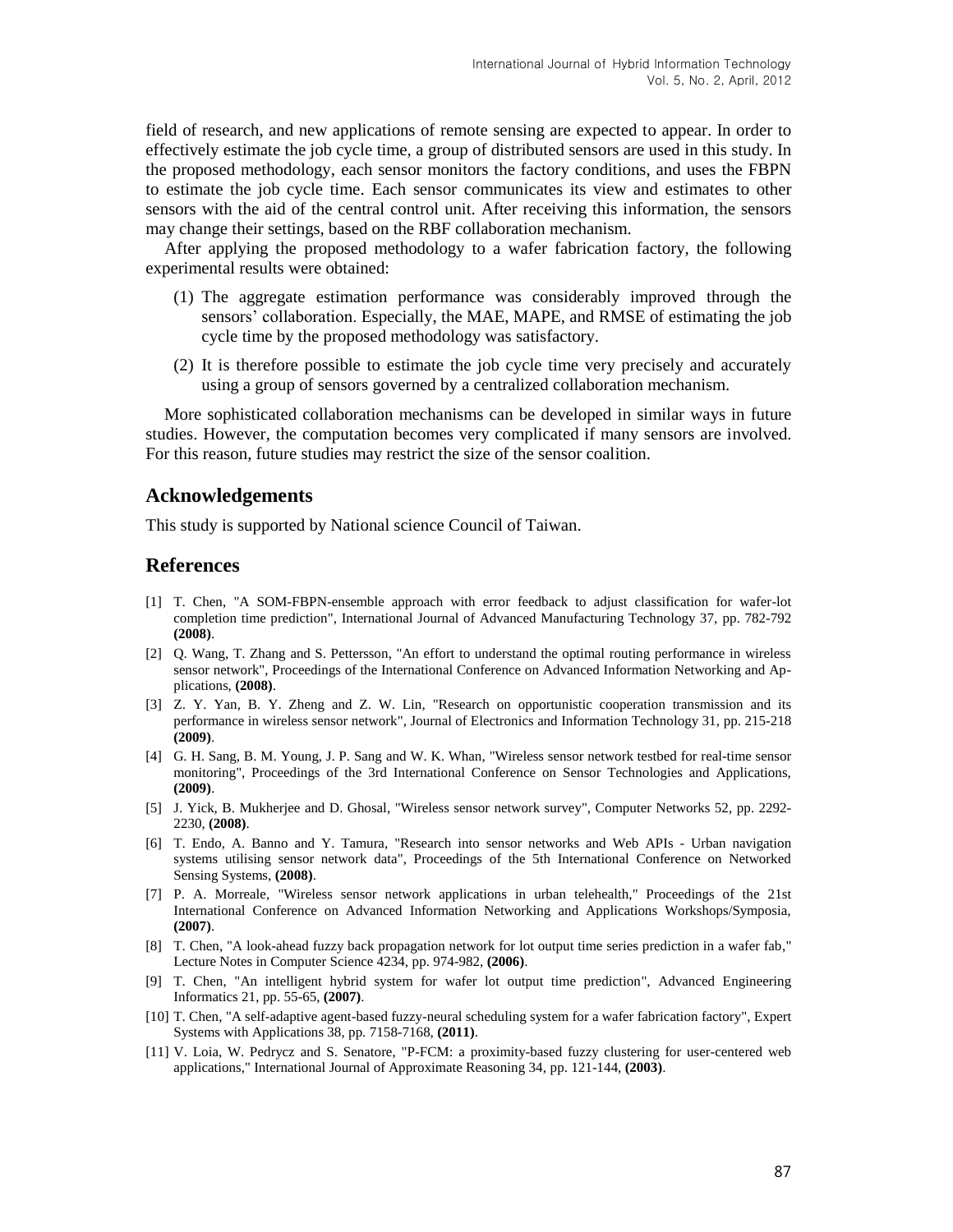field of research, and new applications of remote sensing are expected to appear. In order to effectively estimate the job cycle time, a group of distributed sensors are used in this study. In the proposed methodology, each sensor monitors the factory conditions, and uses the FBPN to estimate the job cycle time. Each sensor communicates its view and estimates to other sensors with the aid of the central control unit. After receiving this information, the sensors may change their settings, based on the RBF collaboration mechanism.

After applying the proposed methodology to a wafer fabrication factory, the following experimental results were obtained:

- (1) The aggregate estimation performance was considerably improved through the sensors' collaboration. Especially, the MAE, MAPE, and RMSE of estimating the job cycle time by the proposed methodology was satisfactory.
- (2) It is therefore possible to estimate the job cycle time very precisely and accurately using a group of sensors governed by a centralized collaboration mechanism.

More sophisticated collaboration mechanisms can be developed in similar ways in future studies. However, the computation becomes very complicated if many sensors are involved. For this reason, future studies may restrict the size of the sensor coalition.

#### **Acknowledgements**

This study is supported by National science Council of Taiwan.

## **References**

- [1] T. Chen, "A SOM-FBPN-ensemble approach with error feedback to adjust classification for wafer-lot completion time prediction", International Journal of Advanced Manufacturing Technology 37, pp. 782-792 **(2008)**.
- [2] Q. Wang, T. Zhang and S. Pettersson, "An effort to understand the optimal routing performance in wireless sensor network", Proceedings of the International Conference on Advanced Information Networking and Applications, **(2008)**.
- [3] Z. Y. Yan, B. Y. Zheng and Z. W. Lin, "Research on opportunistic cooperation transmission and its performance in wireless sensor network", Journal of Electronics and Information Technology 31, pp. 215-218 **(2009)**.
- [4] G. H. Sang, B. M. Young, J. P. Sang and W. K. Whan, "Wireless sensor network testbed for real-time sensor monitoring", Proceedings of the 3rd International Conference on Sensor Technologies and Applications, **(2009)**.
- [5] J. Yick, B. Mukherjee and D. Ghosal, "Wireless sensor network survey", Computer Networks 52, pp. 2292- 2230, **(2008)**.
- [6] T. Endo, A. Banno and Y. Tamura, "Research into sensor networks and Web APIs Urban navigation systems utilising sensor network data", Proceedings of the 5th International Conference on Networked Sensing Systems, **(2008)**.
- [7] P. A. Morreale, "Wireless sensor network applications in urban telehealth," Proceedings of the 21st International Conference on Advanced Information Networking and Applications Workshops/Symposia, **(2007)**.
- [8] T. Chen, "A look-ahead fuzzy back propagation network for lot output time series prediction in a wafer fab," Lecture Notes in Computer Science 4234, pp. 974-982, **(2006)**.
- [9] T. Chen, "An intelligent hybrid system for wafer lot output time prediction", Advanced Engineering Informatics 21, pp. 55-65, **(2007)**.
- [10] T. Chen, "A self-adaptive agent-based fuzzy-neural scheduling system for a wafer fabrication factory", Expert Systems with Applications 38, pp. 7158-7168, **(2011)**.
- [11] V. Loia, W. Pedrycz and S. Senatore, "P-FCM: a proximity-based fuzzy clustering for user-centered web applications," International Journal of Approximate Reasoning 34, pp. 121-144, **(2003)**.